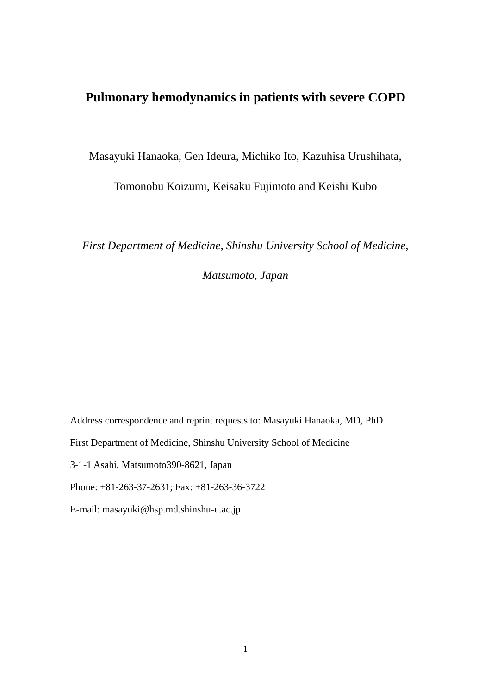# **Pulmonary hemodynamics in patients with severe COPD**

Masayuki Hanaoka, Gen Ideura, Michiko Ito, Kazuhisa Urushihata,

Tomonobu Koizumi, Keisaku Fujimoto and Keishi Kubo

*First Department of Medicine, Shinshu University School of Medicine,* 

*Matsumoto, Japan* 

Address correspondence and reprint requests to: Masayuki Hanaoka, MD, PhD First Department of Medicine, Shinshu University School of Medicine 3-1-1 Asahi, Matsumoto390-8621, Japan Phone: +81-263-37-2631; Fax: +81-263-36-3722 E-mail: [masayuki@hsp.md.shinshu-u.ac.jp](mailto:masayuki@hsp.md.shinshu-u.ac.jp)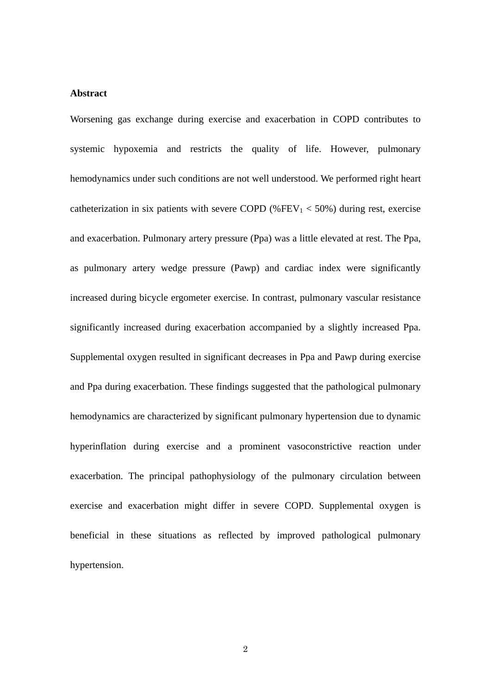#### **Abstract**

Worsening gas exchange during exercise and exacerbation in COPD contributes to systemic hypoxemia and restricts the quality of life. However, pulmonary hemodynamics under such conditions are not well understood. We performed right heart catheterization in six patients with severe COPD (%FEV<sub>1</sub>  $<$  50%) during rest, exercise and exacerbation. Pulmonary artery pressure (Ppa) was a little elevated at rest. The Ppa, as pulmonary artery wedge pressure (Pawp) and cardiac index were significantly increased during bicycle ergometer exercise. In contrast, pulmonary vascular resistance significantly increased during exacerbation accompanied by a slightly increased Ppa. Supplemental oxygen resulted in significant decreases in Ppa and Pawp during exercise and Ppa during exacerbation. These findings suggested that the pathological pulmonary hemodynamics are characterized by significant pulmonary hypertension due to dynamic hyperinflation during exercise and a prominent vasoconstrictive reaction under exacerbation. The principal pathophysiology of the pulmonary circulation between exercise and exacerbation might differ in severe COPD. Supplemental oxygen is beneficial in these situations as reflected by improved pathological pulmonary hypertension.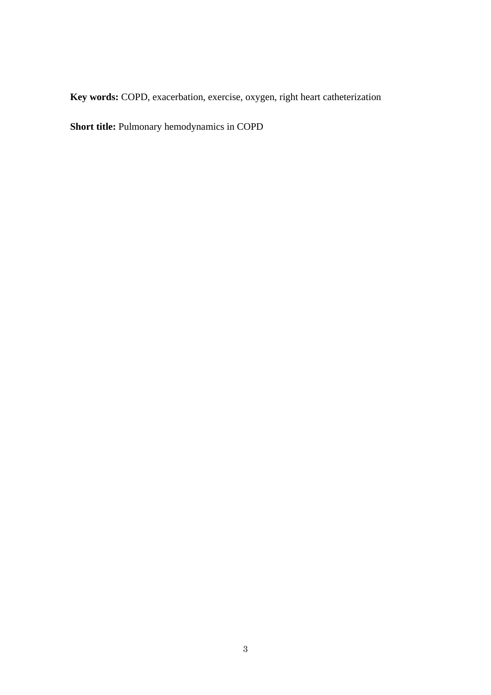**Key words:** COPD, exacerbation, exercise, oxygen, right heart catheterization

**Short title:** Pulmonary hemodynamics in COPD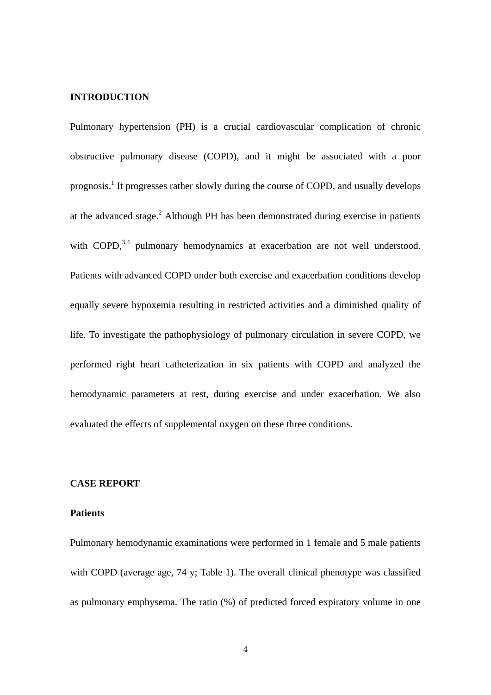# **INTRODUCTION**

Pulmonary hypertension (PH) is a crucial cardiovascular complication of chronic obstructive pulmonary disease (COPD), and it might be associated with a poor prognosis.<sup>1</sup> It progresses rather slowly during the course of COPD, and usually develops at the advanced stage.<sup>2</sup> Although PH has been demonstrated during exercise in patients with COPD,  $3,4$  pulmonary hemodynamics at exacerbation are not well understood. Patients with advanced COPD under both exercise and exacerbation conditions develop equally severe hypoxemia resulting in restricted activities and a diminished quality of life. To investigate the pathophysiology of pulmonary circulation in severe COPD, we performed right heart catheterization in six patients with COPD and analyzed the hemodynamic parameters at rest, during exercise and under exacerbation. We also evaluated the effects of supplemental oxygen on these three conditions.

# **CASE REPORT**

#### **Patients**

Pulmonary hemodynamic examinations were performed in 1 female and 5 male patients with COPD (average age, 74 y; Table 1). The overall clinical phenotype was classified as pulmonary emphysema. The ratio (%) of predicted forced expiratory volume in one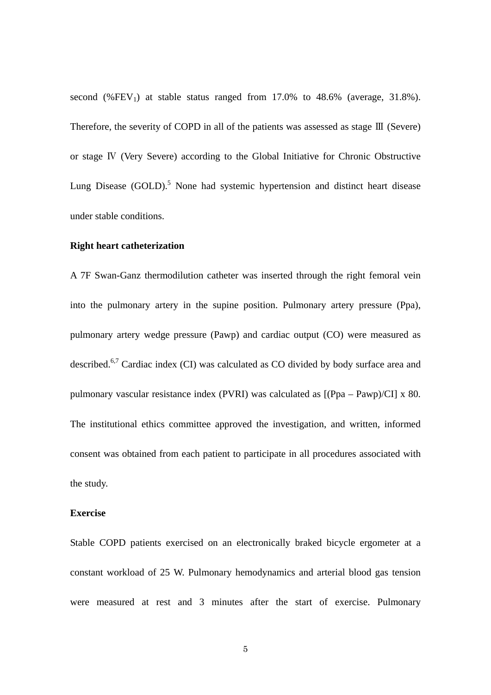second  $(\% FEV_1)$  at stable status ranged from 17.0% to 48.6% (average, 31.8%). Therefore, the severity of COPD in all of the patients was assessed as stage Ⅲ (Severe) or stage Ⅳ (Very Severe) according to the Global Initiative for Chronic Obstructive Lung Disease (GOLD).<sup>5</sup> None had systemic hypertension and distinct heart disease under stable conditions.

#### **Right heart catheterization**

A 7F Swan-Ganz thermodilution catheter was inserted through the right femoral vein into the pulmonary artery in the supine position. Pulmonary artery pressure (Ppa), pulmonary artery wedge pressure (Pawp) and cardiac output (CO) were measured as described.6,7 Cardiac index (CI) was calculated as CO divided by body surface area and pulmonary vascular resistance index (PVRI) was calculated as [(Ppa – Pawp)/CI] x 80. The institutional ethics committee approved the investigation, and written, informed consent was obtained from each patient to participate in all procedures associated with the study.

#### **Exercise**

Stable COPD patients exercised on an electronically braked bicycle ergometer at a constant workload of 25 W. Pulmonary hemodynamics and arterial blood gas tension were measured at rest and 3 minutes after the start of exercise. Pulmonary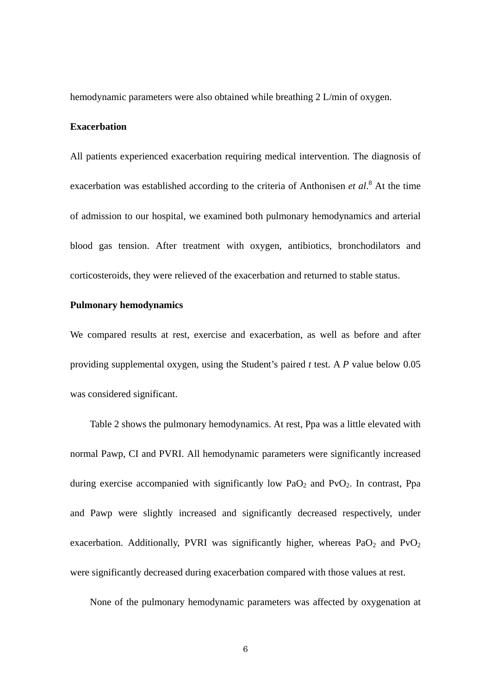hemodynamic parameters were also obtained while breathing 2 L/min of oxygen.

# **Exacerbation**

All patients experienced exacerbation requiring medical intervention. The diagnosis of exacerbation was established according to the criteria of Anthonisen *et al.*<sup>8</sup> At the time of admission to our hospital, we examined both pulmonary hemodynamics and arterial blood gas tension. After treatment with oxygen, antibiotics, bronchodilators and corticosteroids, they were relieved of the exacerbation and returned to stable status.

# **Pulmonary hemodynamics**

We compared results at rest, exercise and exacerbation, as well as before and after providing supplemental oxygen, using the Student's paired *t* test. A *P* value below 0.05 was considered significant.

Table 2 shows the pulmonary hemodynamics. At rest, Ppa was a little elevated with normal Pawp, CI and PVRI. All hemodynamic parameters were significantly increased during exercise accompanied with significantly low  $PaO<sub>2</sub>$  and  $P<sub>vO<sub>2</sub></sub>$ . In contrast, Ppa and Pawp were slightly increased and significantly decreased respectively, under exacerbation. Additionally, PVRI was significantly higher, whereas  $PaO<sub>2</sub>$  and  $PvO<sub>2</sub>$ were significantly decreased during exacerbation compared with those values at rest.

None of the pulmonary hemodynamic parameters was affected by oxygenation at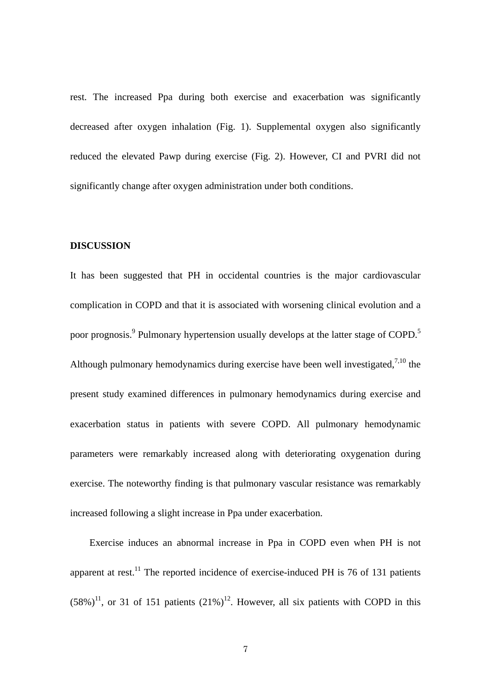rest. The increased Ppa during both exercise and exacerbation was significantly decreased after oxygen inhalation (Fig. 1). Supplemental oxygen also significantly reduced the elevated Pawp during exercise (Fig. 2). However, CI and PVRI did not significantly change after oxygen administration under both conditions.

#### **DISCUSSION**

It has been suggested that PH in occidental countries is the major cardiovascular complication in COPD and that it is associated with worsening clinical evolution and a poor prognosis.<sup>9</sup> Pulmonary hypertension usually develops at the latter stage of COPD.<sup>5</sup> Although pulmonary hemodynamics during exercise have been well investigated,  $7,10$  the present study examined differences in pulmonary hemodynamics during exercise and exacerbation status in patients with severe COPD. All pulmonary hemodynamic parameters were remarkably increased along with deteriorating oxygenation during exercise. The noteworthy finding is that pulmonary vascular resistance was remarkably increased following a slight increase in Ppa under exacerbation.

Exercise induces an abnormal increase in Ppa in COPD even when PH is not apparent at rest.<sup>11</sup> The reported incidence of exercise-induced PH is 76 of 131 patients  $(58\%)^{11}$ , or 31 of 151 patients  $(21\%)^{12}$ . However, all six patients with COPD in this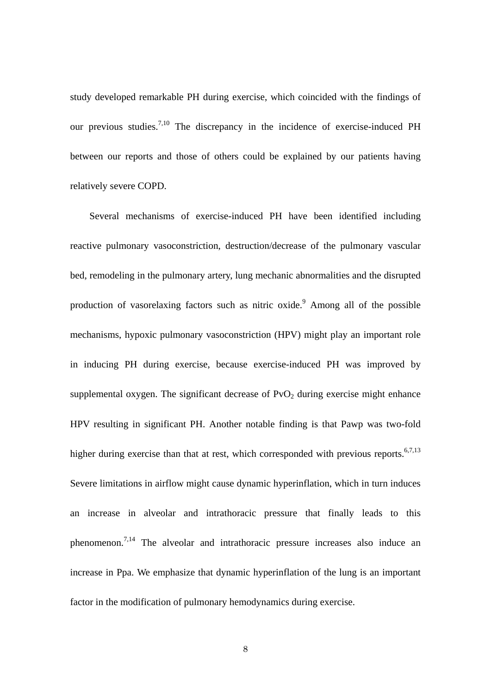study developed remarkable PH during exercise, which coincided with the findings of our previous studies.<sup>7,10</sup> The discrepancy in the incidence of exercise-induced PH between our reports and those of others could be explained by our patients having relatively severe COPD.

Several mechanisms of exercise-induced PH have been identified including reactive pulmonary vasoconstriction, destruction/decrease of the pulmonary vascular bed, remodeling in the pulmonary artery, lung mechanic abnormalities and the disrupted production of vasorelaxing factors such as nitric oxide.<sup>9</sup> Among all of the possible mechanisms, hypoxic pulmonary vasoconstriction (HPV) might play an important role in inducing PH during exercise, because exercise-induced PH was improved by supplemental oxygen. The significant decrease of  $PvO<sub>2</sub>$  during exercise might enhance HPV resulting in significant PH. Another notable finding is that Pawp was two-fold higher during exercise than that at rest, which corresponded with previous reports.<sup>6,7,13</sup> Severe limitations in airflow might cause dynamic hyperinflation, which in turn induces an increase in alveolar and intrathoracic pressure that finally leads to this phenomenon.<sup>7,14</sup> The alveolar and intrathoracic pressure increases also induce an increase in Ppa. We emphasize that dynamic hyperinflation of the lung is an important factor in the modification of pulmonary hemodynamics during exercise.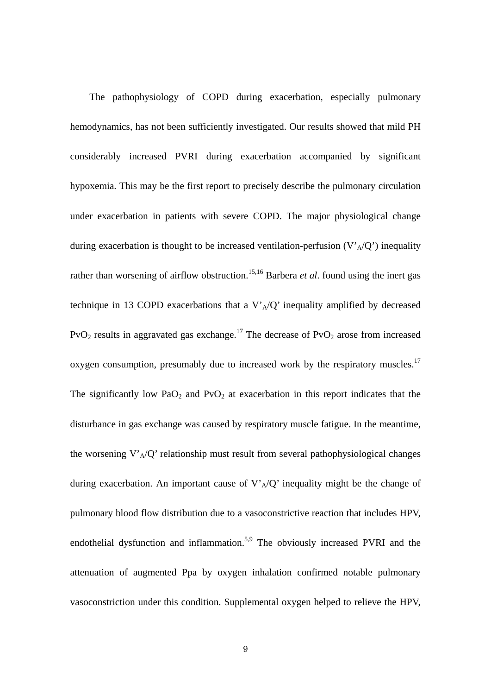The pathophysiology of COPD during exacerbation, especially pulmonary hemodynamics, has not been sufficiently investigated. Our results showed that mild PH considerably increased PVRI during exacerbation accompanied by significant hypoxemia. This may be the first report to precisely describe the pulmonary circulation under exacerbation in patients with severe COPD. The major physiological change during exacerbation is thought to be increased ventilation-perfusion  $(V_A/Q')$  inequality rather than worsening of airflow obstruction.<sup>15,16</sup> Barbera *et al*. found using the inert gas technique in 13 COPD exacerbations that a  $V_A/Q'$  inequality amplified by decreased  $PvO<sub>2</sub>$  results in aggravated gas exchange.<sup>17</sup> The decrease of  $PvO<sub>2</sub>$  arose from increased oxygen consumption, presumably due to increased work by the respiratory muscles.<sup>17</sup> The significantly low PaO<sub>2</sub> and PvO<sub>2</sub> at exacerbation in this report indicates that the disturbance in gas exchange was caused by respiratory muscle fatigue. In the meantime, the worsening  $V'_{A}/Q'$  relationship must result from several pathophysiological changes during exacerbation. An important cause of  $V_A/Q'$  inequality might be the change of pulmonary blood flow distribution due to a vasoconstrictive reaction that includes HPV, endothelial dysfunction and inflammation.<sup>5,9</sup> The obviously increased PVRI and the attenuation of augmented Ppa by oxygen inhalation confirmed notable pulmonary vasoconstriction under this condition. Supplemental oxygen helped to relieve the HPV,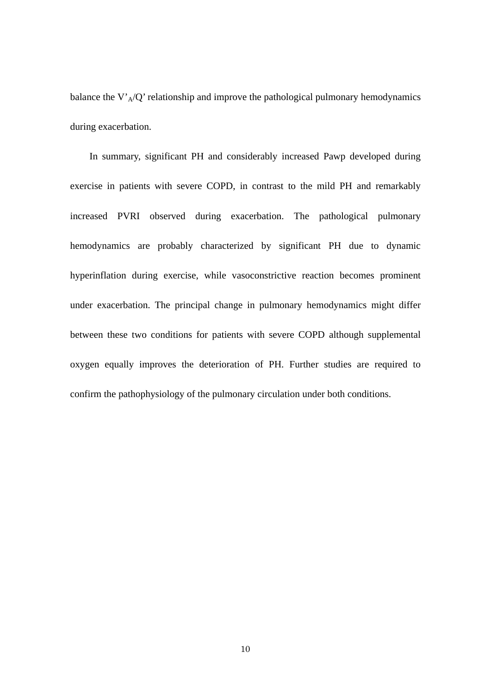balance the V' $_A$ /Q' relationship and improve the pathological pulmonary hemodynamics during exacerbation.

In summary, significant PH and considerably increased Pawp developed during exercise in patients with severe COPD, in contrast to the mild PH and remarkably increased PVRI observed during exacerbation. The pathological pulmonary hemodynamics are probably characterized by significant PH due to dynamic hyperinflation during exercise, while vasoconstrictive reaction becomes prominent under exacerbation. The principal change in pulmonary hemodynamics might differ between these two conditions for patients with severe COPD although supplemental oxygen equally improves the deterioration of PH. Further studies are required to confirm the pathophysiology of the pulmonary circulation under both conditions.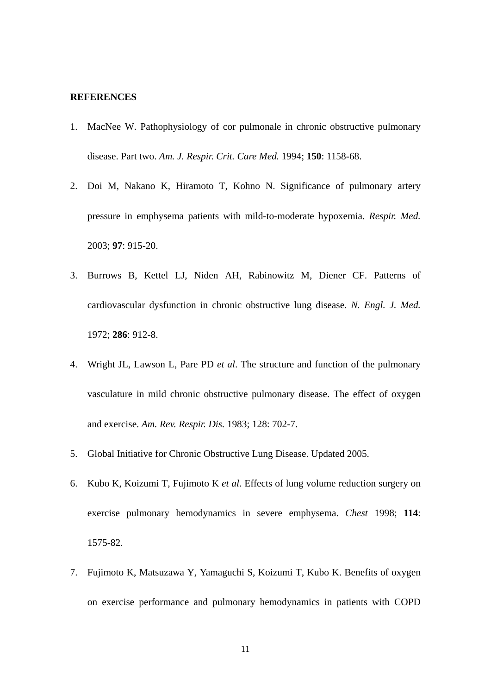# **REFERENCES**

- 1. [MacNee W.](http://www.ncbi.nlm.nih.gov/entrez/query.fcgi?db=pubmed&cmd=Search&itool=pubmed_Abstract&term=%22MacNee+W%22%5BAuthor%5D) Pathophysiology of cor pulmonale in chronic obstructive pulmonary disease. Part two. *[Am. J. Respir. Crit. Care Med.](javascript:AL_get(this,%20)* 1994; **150**: 1158-68.
- 2. [Doi M](http://www.ncbi.nlm.nih.gov/entrez/query.fcgi?db=pubmed&cmd=Search&itool=pubmed_Abstract&term=%22Doi+M%22%5BAuthor%5D), [Nakano K,](http://www.ncbi.nlm.nih.gov/entrez/query.fcgi?db=pubmed&cmd=Search&itool=pubmed_Abstract&term=%22Nakano+K%22%5BAuthor%5D) [Hiramoto T](http://www.ncbi.nlm.nih.gov/entrez/query.fcgi?db=pubmed&cmd=Search&itool=pubmed_Abstract&term=%22Hiramoto+T%22%5BAuthor%5D), [Kohno N.](http://www.ncbi.nlm.nih.gov/entrez/query.fcgi?db=pubmed&cmd=Search&itool=pubmed_Abstract&term=%22Kohno+N%22%5BAuthor%5D) Significance of pulmonary artery pressure in emphysema patients with mild-to-moderate hypoxemia. *[Respir. Med.](javascript:AL_get(this,%20)* 2003; **97**: 915-20.
- 3. [Burrows B,](http://www.ncbi.nlm.nih.gov/entrez/query.fcgi?db=pubmed&cmd=Search&itool=pubmed_Abstract&term=%22Burrows+B%22%5BAuthor%5D) [Kettel LJ](http://www.ncbi.nlm.nih.gov/entrez/query.fcgi?db=pubmed&cmd=Search&itool=pubmed_Abstract&term=%22Kettel+LJ%22%5BAuthor%5D), [Niden AH](http://www.ncbi.nlm.nih.gov/entrez/query.fcgi?db=pubmed&cmd=Search&itool=pubmed_Abstract&term=%22Niden+AH%22%5BAuthor%5D), [Rabinowitz M,](http://www.ncbi.nlm.nih.gov/entrez/query.fcgi?db=pubmed&cmd=Search&itool=pubmed_Abstract&term=%22Rabinowitz+M%22%5BAuthor%5D) [Diener CF](http://www.ncbi.nlm.nih.gov/entrez/query.fcgi?db=pubmed&cmd=Search&itool=pubmed_Abstract&term=%22Diener+CF%22%5BAuthor%5D). Patterns of cardiovascular dysfunction in chronic obstructive lung disease. *[N. Engl. J. Med.](javascript:AL_get(this,%20)* 1972; **286**: 912-8.
- 4. [Wright JL,](http://www.ncbi.nlm.nih.gov/entrez/query.fcgi?db=pubmed&cmd=Search&itool=pubmed_Abstract&term=%22Wright+JL%22%5BAuthor%5D) [Lawson L,](http://www.ncbi.nlm.nih.gov/entrez/query.fcgi?db=pubmed&cmd=Search&itool=pubmed_Abstract&term=%22Lawson+L%22%5BAuthor%5D) [Pare PD](http://www.ncbi.nlm.nih.gov/entrez/query.fcgi?db=pubmed&cmd=Search&itool=pubmed_Abstract&term=%22Pare+PD%22%5BAuthor%5D) *et al*. The structure and function of the pulmonary vasculature in mild chronic obstructive pulmonary disease. The effect of oxygen and exercise. *[Am. Rev. Respir. Dis.](javascript:AL_get(this,%20)* 1983; 128: 702-7.
- 5. Global Initiative for Chronic Obstructive Lung Disease. Updated 2005.
- 6. [Kubo K,](http://www.ncbi.nlm.nih.gov/entrez/query.fcgi?db=pubmed&cmd=Search&itool=pubmed_Abstract&term=%22Kubo+K%22%5BAuthor%5D) [Koizumi T](http://www.ncbi.nlm.nih.gov/entrez/query.fcgi?db=pubmed&cmd=Search&itool=pubmed_Abstract&term=%22Koizumi+T%22%5BAuthor%5D), [Fujimoto K](http://www.ncbi.nlm.nih.gov/entrez/query.fcgi?db=pubmed&cmd=Search&itool=pubmed_Abstract&term=%22Fujimoto+K%22%5BAuthor%5D) *et al*. Effects of lung volume reduction surgery on exercise pulmonary hemodynamics in severe emphysema. *[Chest](javascript:AL_get(this,%20)* 1998; **114**: 1575-82.
- 7. [Fujimoto K](http://www.ncbi.nlm.nih.gov/entrez/query.fcgi?db=pubmed&cmd=Search&itool=pubmed_Abstract&term=%22Fujimoto+K%22%5BAuthor%5D), [Matsuzawa Y,](http://www.ncbi.nlm.nih.gov/entrez/query.fcgi?db=pubmed&cmd=Search&itool=pubmed_Abstract&term=%22Matsuzawa+Y%22%5BAuthor%5D) [Yamaguchi S,](http://www.ncbi.nlm.nih.gov/entrez/query.fcgi?db=pubmed&cmd=Search&itool=pubmed_Abstract&term=%22Yamaguchi+S%22%5BAuthor%5D) [Koizumi T,](http://www.ncbi.nlm.nih.gov/entrez/query.fcgi?db=pubmed&cmd=Search&itool=pubmed_Abstract&term=%22Koizumi+T%22%5BAuthor%5D) [Kubo K](http://www.ncbi.nlm.nih.gov/entrez/query.fcgi?db=pubmed&cmd=Search&itool=pubmed_Abstract&term=%22Kubo+K%22%5BAuthor%5D). Benefits of oxygen on exercise performance and pulmonary hemodynamics in patients with COPD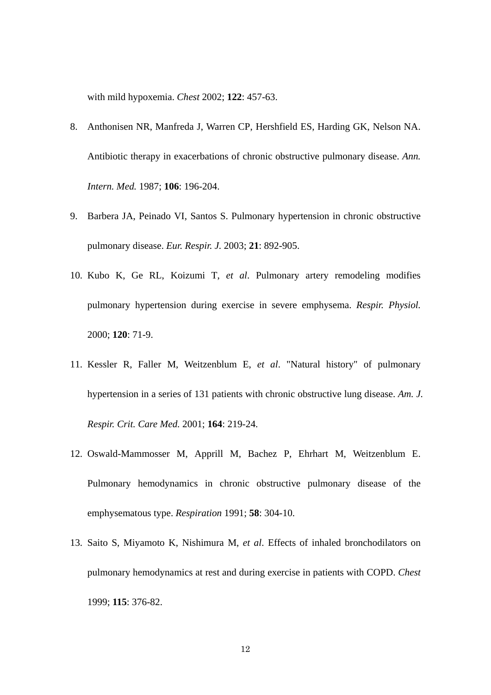with mild hypoxemia. *Chest* 2002; **122**: 457-63.

- 8. [Anthonisen NR,](http://www.ncbi.nlm.nih.gov/entrez/query.fcgi?db=pubmed&cmd=Search&itool=pubmed_Abstract&term=%22Anthonisen+NR%22%5BAuthor%5D) [Manfreda J](http://www.ncbi.nlm.nih.gov/entrez/query.fcgi?db=pubmed&cmd=Search&itool=pubmed_Abstract&term=%22Manfreda+J%22%5BAuthor%5D), [Warren CP](http://www.ncbi.nlm.nih.gov/entrez/query.fcgi?db=pubmed&cmd=Search&itool=pubmed_Abstract&term=%22Warren+CP%22%5BAuthor%5D), [Hershfield ES,](http://www.ncbi.nlm.nih.gov/entrez/query.fcgi?db=pubmed&cmd=Search&itool=pubmed_Abstract&term=%22Hershfield+ES%22%5BAuthor%5D) [Harding GK,](http://www.ncbi.nlm.nih.gov/entrez/query.fcgi?db=pubmed&cmd=Search&itool=pubmed_Abstract&term=%22Harding+GK%22%5BAuthor%5D) [Nelson NA](http://www.ncbi.nlm.nih.gov/entrez/query.fcgi?db=pubmed&cmd=Search&itool=pubmed_Abstract&term=%22Nelson+NA%22%5BAuthor%5D). Antibiotic therapy in exacerbations of chronic obstructive pulmonary disease. *[Ann.](javascript:AL_get(this,%20)  [Intern. Med.](javascript:AL_get(this,%20)* 1987; **106**: 196-204.
- 9. [Barbera JA](http://www.ncbi.nlm.nih.gov/entrez/query.fcgi?db=pubmed&cmd=Search&itool=pubmed_Abstract&term=%22Barbera+JA%22%5BAuthor%5D), [Peinado VI,](http://www.ncbi.nlm.nih.gov/entrez/query.fcgi?db=pubmed&cmd=Search&itool=pubmed_Abstract&term=%22Peinado+VI%22%5BAuthor%5D) [Santos S.](http://www.ncbi.nlm.nih.gov/entrez/query.fcgi?db=pubmed&cmd=Search&itool=pubmed_Abstract&term=%22Santos+S%22%5BAuthor%5D) Pulmonary hypertension in chronic obstructive pulmonary disease. *[Eur. Respir. J.](javascript:AL_get(this,%20)* 2003; **21**: 892-905.
- 10. [Kubo K,](http://www.ncbi.nlm.nih.gov/entrez/query.fcgi?db=pubmed&cmd=Search&itool=pubmed_Abstract&term=%22Kubo+K%22%5BAuthor%5D) [Ge RL](http://www.ncbi.nlm.nih.gov/entrez/query.fcgi?db=pubmed&cmd=Search&itool=pubmed_Abstract&term=%22Ge+RL%22%5BAuthor%5D), [Koizumi T,](http://www.ncbi.nlm.nih.gov/entrez/query.fcgi?db=pubmed&cmd=Search&itool=pubmed_Abstract&term=%22Koizumi+T%22%5BAuthor%5D) *et al*. Pulmonary artery remodeling modifies pulmonary hypertension during exercise in severe emphysema. *[Respir. Physiol.](javascript:AL_get(this,%20)* 2000; **120**: 71-9.
- 11. [Kessler R](http://www.ncbi.nlm.nih.gov/entrez/query.fcgi?db=pubmed&cmd=Search&itool=pubmed_Abstract&term=%22Kessler+R%22%5BAuthor%5D), [Faller M,](http://www.ncbi.nlm.nih.gov/entrez/query.fcgi?db=pubmed&cmd=Search&itool=pubmed_Abstract&term=%22Faller+M%22%5BAuthor%5D) [Weitzenblum E,](http://www.ncbi.nlm.nih.gov/entrez/query.fcgi?db=pubmed&cmd=Search&itool=pubmed_Abstract&term=%22Weitzenblum+E%22%5BAuthor%5D) *et al*. "Natural history" of pulmonary hypertension in a series of 131 patients with chronic obstructive lung disease. *[Am. J.](javascript:AL_get(this,%20)  [Respir. Crit. Care Med.](javascript:AL_get(this,%20)* 2001; **164**: 219-24.
- 12. [Oswald-Mammosser M,](http://www.ncbi.nlm.nih.gov/entrez/query.fcgi?db=pubmed&cmd=Search&itool=pubmed_Abstract&term=%22Oswald%2DMammosser+M%22%5BAuthor%5D) [Apprill M,](http://www.ncbi.nlm.nih.gov/entrez/query.fcgi?db=pubmed&cmd=Search&itool=pubmed_Abstract&term=%22Apprill+M%22%5BAuthor%5D) [Bachez P,](http://www.ncbi.nlm.nih.gov/entrez/query.fcgi?db=pubmed&cmd=Search&itool=pubmed_Abstract&term=%22Bachez+P%22%5BAuthor%5D) [Ehrhart M,](http://www.ncbi.nlm.nih.gov/entrez/query.fcgi?db=pubmed&cmd=Search&itool=pubmed_Abstract&term=%22Ehrhart+M%22%5BAuthor%5D) [Weitzenblum E](http://www.ncbi.nlm.nih.gov/entrez/query.fcgi?db=pubmed&cmd=Search&itool=pubmed_Abstract&term=%22Weitzenblum+E%22%5BAuthor%5D). Pulmonary hemodynamics in chronic obstructive pulmonary disease of the emphysematous type. *[Respiration](javascript:AL_get(this,%20)* 1991; **58**: 304-10.
- 13. [Saito S](http://www.ncbi.nlm.nih.gov/entrez/query.fcgi?db=pubmed&cmd=Search&itool=pubmed_Abstract&term=%22Saito+S%22%5BAuthor%5D), [Miyamoto K](http://www.ncbi.nlm.nih.gov/entrez/query.fcgi?db=pubmed&cmd=Search&itool=pubmed_Abstract&term=%22Miyamoto+K%22%5BAuthor%5D), [Nishimura M,](http://www.ncbi.nlm.nih.gov/entrez/query.fcgi?db=pubmed&cmd=Search&itool=pubmed_Abstract&term=%22Nishimura+M%22%5BAuthor%5D) *et al*. Effects of inhaled bronchodilators on pulmonary hemodynamics at rest and during exercise in patients with COPD. *[Chest](javascript:AL_get(this,%20)* 1999; **115**: 376-82.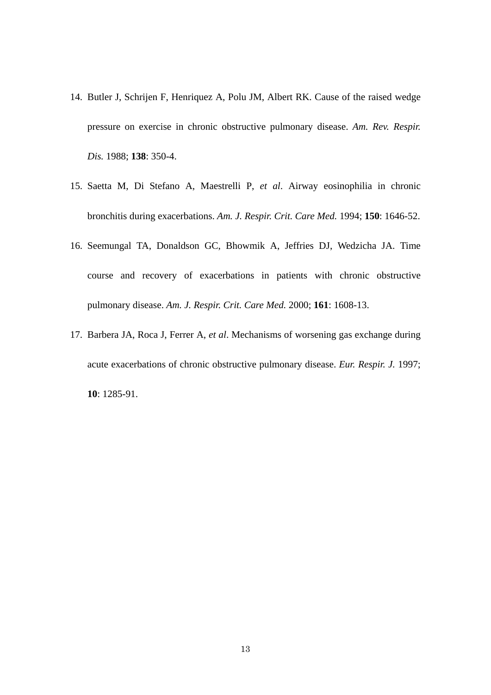- 14. [Butler J](http://www.ncbi.nlm.nih.gov/entrez/query.fcgi?db=pubmed&cmd=Search&itool=pubmed_Abstract&term=%22Butler+J%22%5BAuthor%5D), [Schrijen F](http://www.ncbi.nlm.nih.gov/entrez/query.fcgi?db=pubmed&cmd=Search&itool=pubmed_Abstract&term=%22Schrijen+F%22%5BAuthor%5D), [Henriquez A](http://www.ncbi.nlm.nih.gov/entrez/query.fcgi?db=pubmed&cmd=Search&itool=pubmed_Abstract&term=%22Henriquez+A%22%5BAuthor%5D), [Polu JM,](http://www.ncbi.nlm.nih.gov/entrez/query.fcgi?db=pubmed&cmd=Search&itool=pubmed_Abstract&term=%22Polu+JM%22%5BAuthor%5D) [Albert RK](http://www.ncbi.nlm.nih.gov/entrez/query.fcgi?db=pubmed&cmd=Search&itool=pubmed_Abstract&term=%22Albert+RK%22%5BAuthor%5D). Cause of the raised wedge pressure on exercise in chronic obstructive pulmonary disease. *[Am. Rev. Respir.](javascript:AL_get(this,%20) [Dis.](javascript:AL_get(this,%20)* 1988; **138**: 350-4.
- 15. [Saetta M,](http://www.ncbi.nlm.nih.gov/entrez/query.fcgi?db=pubmed&cmd=Search&itool=pubmed_Abstract&term=%22Saetta+M%22%5BAuthor%5D) [Di Stefano A](http://www.ncbi.nlm.nih.gov/entrez/query.fcgi?db=pubmed&cmd=Search&itool=pubmed_Abstract&term=%22Di+Stefano+A%22%5BAuthor%5D), [Maestrelli P](http://www.ncbi.nlm.nih.gov/entrez/query.fcgi?db=pubmed&cmd=Search&itool=pubmed_Abstract&term=%22Maestrelli+P%22%5BAuthor%5D), *et al*. Airway eosinophilia in chronic bronchitis during exacerbations. *[Am. J. Respir. Crit. Care Med.](javascript:AL_get(this,%20)* 1994; **150**: 1646-52.
- 16. [Seemungal TA,](http://www.ncbi.nlm.nih.gov/entrez/query.fcgi?db=pubmed&cmd=Search&itool=pubmed_Abstract&term=%22Seemungal+TA%22%5BAuthor%5D) [Donaldson GC,](http://www.ncbi.nlm.nih.gov/entrez/query.fcgi?db=pubmed&cmd=Search&itool=pubmed_Abstract&term=%22Donaldson+GC%22%5BAuthor%5D) [Bhowmik A](http://www.ncbi.nlm.nih.gov/entrez/query.fcgi?db=pubmed&cmd=Search&itool=pubmed_Abstract&term=%22Bhowmik+A%22%5BAuthor%5D), [Jeffries DJ](http://www.ncbi.nlm.nih.gov/entrez/query.fcgi?db=pubmed&cmd=Search&itool=pubmed_Abstract&term=%22Jeffries+DJ%22%5BAuthor%5D), [Wedzicha JA](http://www.ncbi.nlm.nih.gov/entrez/query.fcgi?db=pubmed&cmd=Search&itool=pubmed_Abstract&term=%22Wedzicha+JA%22%5BAuthor%5D). Time course and recovery of exacerbations in patients with chronic obstructive pulmonary disease. *[Am. J. Respir. Crit. Care Med.](javascript:AL_get(this,%20)* 2000; **161**: 1608-13.
- 17. [Barbera JA,](http://www.ncbi.nlm.nih.gov/entrez/query.fcgi?db=pubmed&cmd=Search&itool=pubmed_Abstract&term=%22Barbera+JA%22%5BAuthor%5D) [Roca J,](http://www.ncbi.nlm.nih.gov/entrez/query.fcgi?db=pubmed&cmd=Search&itool=pubmed_Abstract&term=%22Roca+J%22%5BAuthor%5D) [Ferrer A,](http://www.ncbi.nlm.nih.gov/entrez/query.fcgi?db=pubmed&cmd=Search&itool=pubmed_Abstract&term=%22Ferrer+A%22%5BAuthor%5D) *et al*. Mechanisms of worsening gas exchange during acute exacerbations of chronic obstructive pulmonary disease. *[Eur. Respir. J.](javascript:AL_get(this,%20)* 1997; **10**: 1285-91.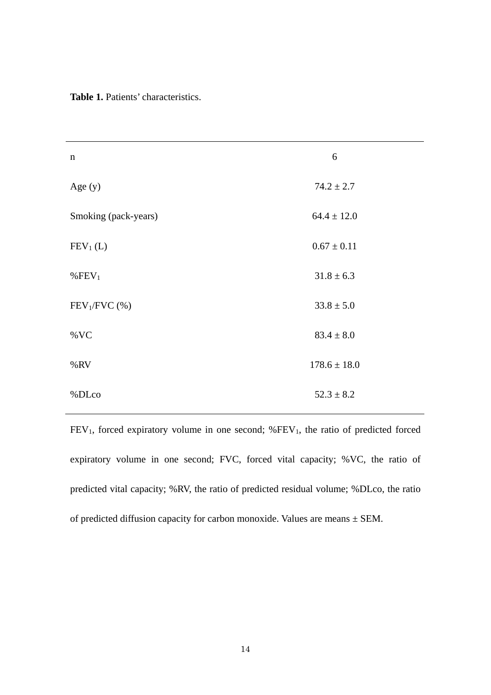**Table 1.** Patients' characteristics.

| $\mathbf n$          | 6                |  |
|----------------------|------------------|--|
| Age (y)              | $74.2 \pm 2.7$   |  |
| Smoking (pack-years) | $64.4 \pm 12.0$  |  |
| $FEV1$ (L)           | $0.67 \pm 0.11$  |  |
| % $FEV1$             | $31.8 \pm 6.3$   |  |
| $FEV1/FVC$ (%)       | $33.8 \pm 5.0$   |  |
| $\%$ VC              | $83.4 \pm 8.0$   |  |
| %RV                  | $178.6 \pm 18.0$ |  |
| %DLco                | $52.3 \pm 8.2$   |  |

 $FEV<sub>1</sub>$ , forced expiratory volume in one second; % $FEV<sub>1</sub>$ , the ratio of predicted forced expiratory volume in one second; FVC, forced vital capacity; %VC, the ratio of predicted vital capacity; %RV, the ratio of predicted residual volume; %DLco, the ratio of predicted diffusion capacity for carbon monoxide. Values are means  $\pm$  SEM.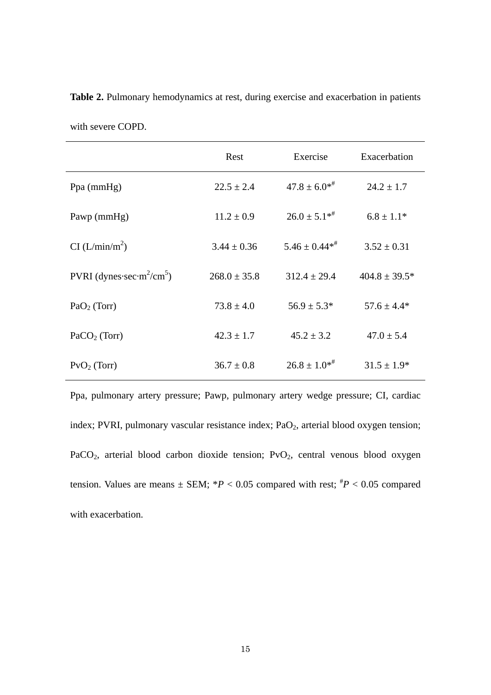|                                                   | Rest             | Exercise           | Exacerbation       |
|---------------------------------------------------|------------------|--------------------|--------------------|
| Ppa $(mmHg)$                                      | $22.5 \pm 2.4$   | $47.8 \pm 6.0^{*}$ | $24.2 \pm 1.7$     |
| Pawp (mmHg)                                       | $11.2 \pm 0.9$   | $26.0 \pm 5.1**$   | $6.8 \pm 1.1*$     |
| CI (L/min/m <sup>2</sup> )                        | $3.44 \pm 0.36$  | $5.46 \pm 0.44**$  | $3.52 \pm 0.31$    |
| PVRI (dynes-sec-m <sup>2</sup> /cm <sup>5</sup> ) | $268.0 \pm 35.8$ | $312.4 \pm 29.4$   | $404.8 \pm 39.5^*$ |
| $PaO2$ (Torr)                                     | $73.8 \pm 4.0$   | $56.9 \pm 5.3^*$   | $57.6 \pm 4.4*$    |
| PaCO <sub>2</sub> (Torr)                          | $42.3 \pm 1.7$   | $45.2 \pm 3.2$     | $47.0 \pm 5.4$     |
| $PvO2$ (Torr)                                     | $36.7 \pm 0.8$   | $26.8 \pm 1.0^{*}$ | $31.5 \pm 1.9*$    |

Table 2. Pulmonary hemodynamics at rest, during exercise and exacerbation in patients

Ppa, pulmonary artery pressure; Pawp, pulmonary artery wedge pressure; CI, cardiac index; PVRI, pulmonary vascular resistance index;  $PaO<sub>2</sub>$ , arterial blood oxygen tension; PaCO<sub>2</sub>, arterial blood carbon dioxide tension;  $PvO<sub>2</sub>$ , central venous blood oxygen tension. Values are means  $\pm$  SEM;  $*P < 0.05$  compared with rest;  $*P < 0.05$  compared with exacerbation.

with severe COPD.